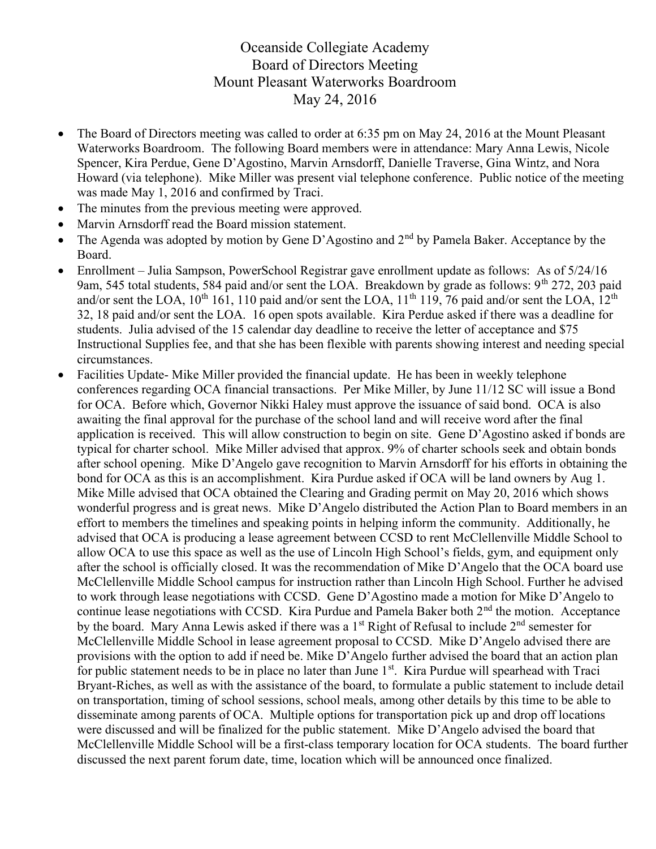## Oceanside Collegiate Academy Board of Directors Meeting Mount Pleasant Waterworks Boardroom May 24, 2016

- The Board of Directors meeting was called to order at 6:35 pm on May 24, 2016 at the Mount Pleasant Waterworks Boardroom. The following Board members were in attendance: Mary Anna Lewis, Nicole Spencer, Kira Perdue, Gene D'Agostino, Marvin Arnsdorff, Danielle Traverse, Gina Wintz, and Nora Howard (via telephone). Mike Miller was present vial telephone conference. Public notice of the meeting was made May 1, 2016 and confirmed by Traci.
- The minutes from the previous meeting were approved.
- Marvin Arnsdorff read the Board mission statement.
- The Agenda was adopted by motion by Gene D'Agostino and 2<sup>nd</sup> by Pamela Baker. Acceptance by the Board.
- Enrollment Julia Sampson, PowerSchool Registrar gave enrollment update as follows: As of 5/24/16 9am, 545 total students, 584 paid and/or sent the LOA. Breakdown by grade as follows:  $9^{th}$  272, 203 paid and/or sent the LOA,  $10^{th}$  161, 110 paid and/or sent the LOA,  $11^{th}$  119, 76 paid and/or sent the LOA,  $12^{th}$ 32, 18 paid and/or sent the LOA. 16 open spots available. Kira Perdue asked if there was a deadline for students. Julia advised of the 15 calendar day deadline to receive the letter of acceptance and \$75 Instructional Supplies fee, and that she has been flexible with parents showing interest and needing special circumstances.
- Facilities Update- Mike Miller provided the financial update. He has been in weekly telephone conferences regarding OCA financial transactions. Per Mike Miller, by June 11/12 SC will issue a Bond for OCA. Before which, Governor Nikki Haley must approve the issuance of said bond. OCA is also awaiting the final approval for the purchase of the school land and will receive word after the final application is received. This will allow construction to begin on site. Gene D'Agostino asked if bonds are typical for charter school. Mike Miller advised that approx. 9% of charter schools seek and obtain bonds after school opening. Mike D'Angelo gave recognition to Marvin Arnsdorff for his efforts in obtaining the bond for OCA as this is an accomplishment. Kira Purdue asked if OCA will be land owners by Aug 1. Mike Mille advised that OCA obtained the Clearing and Grading permit on May 20, 2016 which shows wonderful progress and is great news. Mike D'Angelo distributed the Action Plan to Board members in an effort to members the timelines and speaking points in helping inform the community. Additionally, he advised that OCA is producing a lease agreement between CCSD to rent McClellenville Middle School to allow OCA to use this space as well as the use of Lincoln High School's fields, gym, and equipment only after the school is officially closed. It was the recommendation of Mike D'Angelo that the OCA board use McClellenville Middle School campus for instruction rather than Lincoln High School. Further he advised to work through lease negotiations with CCSD. Gene D'Agostino made a motion for Mike D'Angelo to continue lease negotiations with CCSD. Kira Purdue and Pamela Baker both 2<sup>nd</sup> the motion. Acceptance by the board. Mary Anna Lewis asked if there was a 1<sup>st</sup> Right of Refusal to include 2<sup>nd</sup> semester for McClellenville Middle School in lease agreement proposal to CCSD. Mike D'Angelo advised there are provisions with the option to add if need be. Mike D'Angelo further advised the board that an action plan for public statement needs to be in place no later than June  $1<sup>st</sup>$ . Kira Purdue will spearhead with Traci Bryant-Riches, as well as with the assistance of the board, to formulate a public statement to include detail on transportation, timing of school sessions, school meals, among other details by this time to be able to disseminate among parents of OCA. Multiple options for transportation pick up and drop off locations were discussed and will be finalized for the public statement. Mike D'Angelo advised the board that McClellenville Middle School will be a first-class temporary location for OCA students. The board further discussed the next parent forum date, time, location which will be announced once finalized.